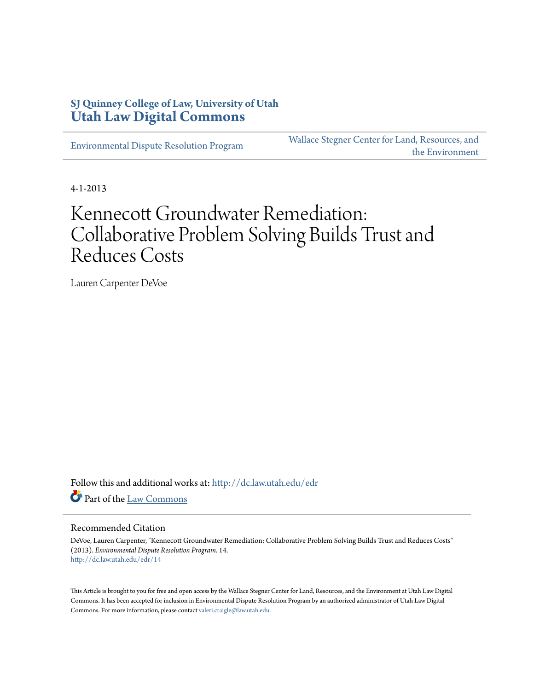# **SJ Quinney College of Law, University of Utah [Utah Law Digital Commons](http://dc.law.utah.edu?utm_source=dc.law.utah.edu%2Fedr%2F14&utm_medium=PDF&utm_campaign=PDFCoverPages)**

[Environmental Dispute Resolution Program](http://dc.law.utah.edu/edr?utm_source=dc.law.utah.edu%2Fedr%2F14&utm_medium=PDF&utm_campaign=PDFCoverPages)

[Wallace Stegner Center for Land, Resources, and](http://dc.law.utah.edu/stegner?utm_source=dc.law.utah.edu%2Fedr%2F14&utm_medium=PDF&utm_campaign=PDFCoverPages) [the Environment](http://dc.law.utah.edu/stegner?utm_source=dc.law.utah.edu%2Fedr%2F14&utm_medium=PDF&utm_campaign=PDFCoverPages)

4-1-2013

# Kennecott Groundwater Remediation: Collaborative Problem Solving Builds Trust and Reduces Costs

Lauren Carpenter DeVoe

Follow this and additional works at: [http://dc.law.utah.edu/edr](http://dc.law.utah.edu/edr?utm_source=dc.law.utah.edu%2Fedr%2F14&utm_medium=PDF&utm_campaign=PDFCoverPages) Part of the [Law Commons](http://network.bepress.com/hgg/discipline/578?utm_source=dc.law.utah.edu%2Fedr%2F14&utm_medium=PDF&utm_campaign=PDFCoverPages)

#### Recommended Citation

DeVoe, Lauren Carpenter, "Kennecott Groundwater Remediation: Collaborative Problem Solving Builds Trust and Reduces Costs" (2013). *Environmental Dispute Resolution Program*. 14. [http://dc.law.utah.edu/edr/14](http://dc.law.utah.edu/edr/14?utm_source=dc.law.utah.edu%2Fedr%2F14&utm_medium=PDF&utm_campaign=PDFCoverPages)

This Article is brought to you for free and open access by the Wallace Stegner Center for Land, Resources, and the Environment at Utah Law Digital Commons. It has been accepted for inclusion in Environmental Dispute Resolution Program by an authorized administrator of Utah Law Digital Commons. For more information, please contact [valeri.craigle@law.utah.edu](mailto:valeri.craigle@law.utah.edu).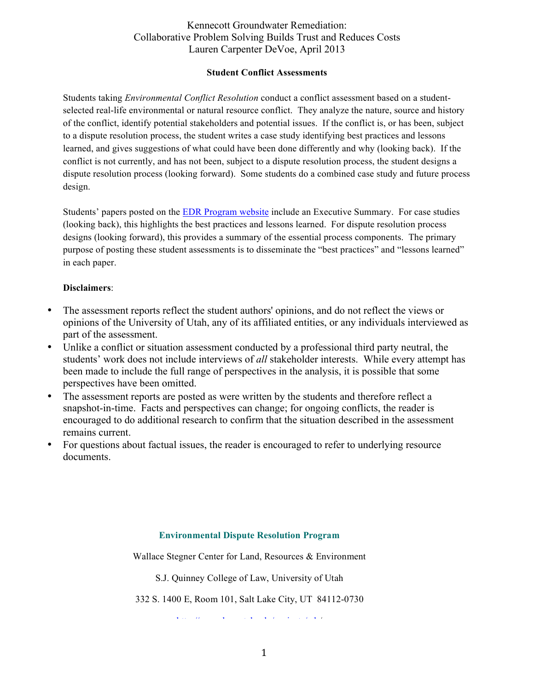# **Student Conflict Assessments**

Students taking *Environmental Conflict Resolution* conduct a conflict assessment based on a studentselected real-life environmental or natural resource conflict. They analyze the nature, source and history of the conflict, identify potential stakeholders and potential issues. If the conflict is, or has been, subject to a dispute resolution process, the student writes a case study identifying best practices and lessons learned, and gives suggestions of what could have been done differently and why (looking back). If the conflict is not currently, and has not been, subject to a dispute resolution process, the student designs a dispute resolution process (looking forward). Some students do a combined case study and future process design.

Students' papers posted on the EDR Program website include an Executive Summary. For case studies (looking back), this highlights the best practices and lessons learned. For dispute resolution process designs (looking forward), this provides a summary of the essential process components. The primary purpose of posting these student assessments is to disseminate the "best practices" and "lessons learned" in each paper.

#### **Disclaimers**:

- The assessment reports reflect the student authors' opinions, and do not reflect the views or opinions of the University of Utah, any of its affiliated entities, or any individuals interviewed as part of the assessment.
- Unlike a conflict or situation assessment conducted by a professional third party neutral, the students' work does not include interviews of *all* stakeholder interests. While every attempt has been made to include the full range of perspectives in the analysis, it is possible that some perspectives have been omitted.
- The assessment reports are posted as were written by the students and therefore reflect a snapshot-in-time. Facts and perspectives can change; for ongoing conflicts, the reader is encouraged to do additional research to confirm that the situation described in the assessment remains current.
- For questions about factual issues, the reader is encouraged to refer to underlying resource documents.

#### **Environmental Dispute Resolution Program**

Wallace Stegner Center for Land, Resources & Environment

S.J. Quinney College of Law, University of Utah

332 S. 1400 E, Room 101, Salt Lake City, UT 84112-0730

http://www.law.utah.edu/projects/edr/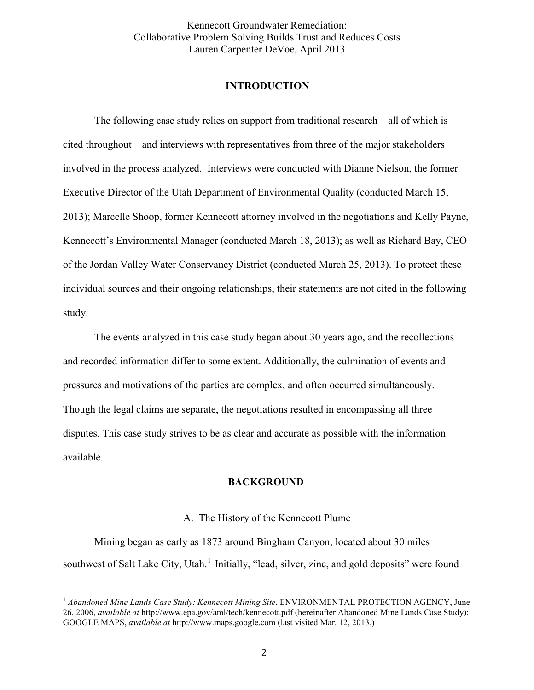## **INTRODUCTION**

The following case study relies on support from traditional research—all of which is cited throughout—and interviews with representatives from three of the major stakeholders involved in the process analyzed. Interviews were conducted with Dianne Nielson, the former Executive Director of the Utah Department of Environmental Quality (conducted March 15, 2013); Marcelle Shoop, former Kennecott attorney involved in the negotiations and Kelly Payne, Kennecott's Environmental Manager (conducted March 18, 2013); as well as Richard Bay, CEO of the Jordan Valley Water Conservancy District (conducted March 25, 2013). To protect these individual sources and their ongoing relationships, their statements are not cited in the following study.

The events analyzed in this case study began about 30 years ago, and the recollections and recorded information differ to some extent. Additionally, the culmination of events and pressures and motivations of the parties are complex, and often occurred simultaneously. Though the legal claims are separate, the negotiations resulted in encompassing all three disputes. This case study strives to be as clear and accurate as possible with the information available.

#### **BACKGROUND**

#### A. The History of the Kennecott Plume

Mining began as early as 1873 around Bingham Canyon, located about 30 miles southwest of Salt Lake City, Utah.<sup>1</sup> Initially, "lead, silver, zinc, and gold deposits" were found

<sup>1</sup> *Abandoned Mine Lands Case Study: Kennecott Mining Site*, ENVIRONMENTAL PROTECTION AGENCY, June 26, 2006, *available at* http://www.epa.gov/aml/tech/kennecott.pdf (hereinafter Abandoned Mine Lands Case Study); GOOGLE MAPS, *available at* http://www.maps.google.com (last visited Mar. 12, 2013.)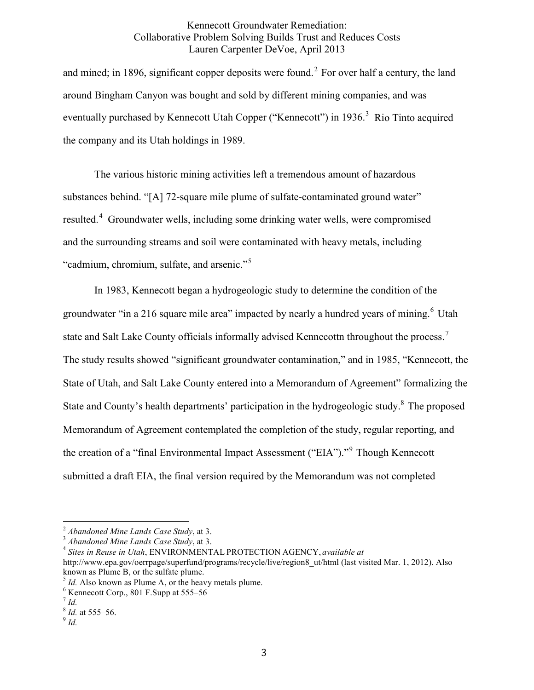and mined; in 1896, significant copper deposits were found.<sup>2</sup> For over half a century, the land around Bingham Canyon was bought and sold by different mining companies, and was eventually purchased by Kennecott Utah Copper ("Kennecott") in 1936.<sup>3</sup> Rio Tinto acquired the company and its Utah holdings in 1989.

The various historic mining activities left a tremendous amount of hazardous substances behind. "[A] 72-square mile plume of sulfate-contaminated ground water" resulted.<sup>4</sup> Groundwater wells, including some drinking water wells, were compromised and the surrounding streams and soil were contaminated with heavy metals, including "cadmium, chromium, sulfate, and arsenic."<sup>5</sup>

In 1983, Kennecott began a hydrogeologic study to determine the condition of the groundwater "in a 216 square mile area" impacted by nearly a hundred years of mining.<sup>6</sup> Utah state and Salt Lake County officials informally advised Kennecottn throughout the process.<sup>7</sup> The study results showed "significant groundwater contamination," and in 1985, "Kennecott, the State of Utah, and Salt Lake County entered into a Memorandum of Agreement" formalizing the State and County's health departments' participation in the hydrogeologic study.<sup>8</sup> The proposed Memorandum of Agreement contemplated the completion of the study, regular reporting, and the creation of a "final Environmental Impact Assessment ("EIA")."<sup>9</sup> Though Kennecott submitted a draft EIA, the final version required by the Memorandum was not completed

<sup>&</sup>lt;sup>2</sup> Abandoned Mine Lands Case Study, at 3.<br><sup>3</sup> Abandoned Mine Lands Case Study, at 3.<br><sup>4</sup> Sites in Reuse in Utah, ENVIRONMENTAL PROTECTION AGENCY, available at

http://www.epa.gov/oerrpage/superfund/programs/recycle/live/region8\_ut/html (last visited Mar. 1, 2012). Also known as Plume B, or the sulfate plume.<br><sup>5</sup> *Id.* Also known as Plume A, or the heavy metals plume.<br><sup>6</sup> Kennecott Corp., 801 F.Supp at 555–56<br><sup>7</sup> *Id.* 8 *Id.* at 555–56. 9 *Id.*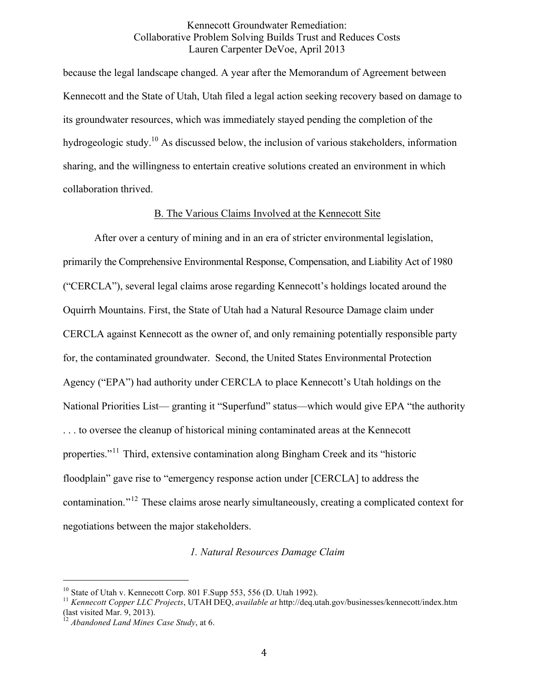because the legal landscape changed. A year after the Memorandum of Agreement between Kennecott and the State of Utah, Utah filed a legal action seeking recovery based on damage to its groundwater resources, which was immediately stayed pending the completion of the hydrogeologic study.10 As discussed below, the inclusion of various stakeholders, information sharing, and the willingness to entertain creative solutions created an environment in which collaboration thrived.

#### B. The Various Claims Involved at the Kennecott Site

After over a century of mining and in an era of stricter environmental legislation, primarily the Comprehensive Environmental Response, Compensation, and Liability Act of 1980 ("CERCLA"), several legal claims arose regarding Kennecott's holdings located around the Oquirrh Mountains. First, the State of Utah had a Natural Resource Damage claim under CERCLA against Kennecott as the owner of, and only remaining potentially responsible party for, the contaminated groundwater. Second, the United States Environmental Protection Agency ("EPA") had authority under CERCLA to place Kennecott's Utah holdings on the National Priorities List— granting it "Superfund" status—which would give EPA "the authority . . . to oversee the cleanup of historical mining contaminated areas at the Kennecott properties."<sup>11</sup> Third, extensive contamination along Bingham Creek and its "historic floodplain" gave rise to "emergency response action under [CERCLA] to address the contamination."<sup>12</sup> These claims arose nearly simultaneously, creating a complicated context for negotiations between the major stakeholders.

#### *1. Natural Resources Damage Claim*

<sup>&</sup>lt;sup>10</sup> State of Utah v. Kennecott Corp. 801 F.Supp 553, 556 (D. Utah 1992).<br><sup>11</sup> *Kennecott Copper LLC Projects*, UTAH DEO, *available at http://deq.utah.gov/businesses/kennecott/index.htm* (last visited Mar. 9, 2013). <sup>12</sup> *Abandoned Land Mines Case Study*, at 6.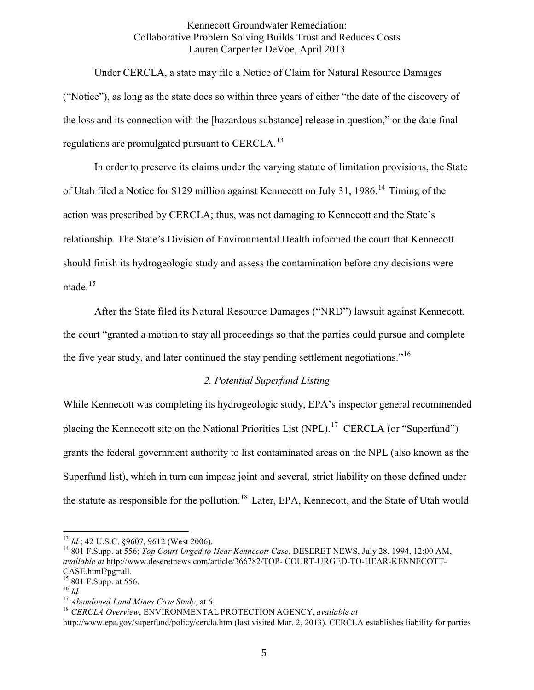Under CERCLA, a state may file a Notice of Claim for Natural Resource Damages ("Notice"), as long as the state does so within three years of either "the date of the discovery of the loss and its connection with the [hazardous substance] release in question," or the date final regulations are promulgated pursuant to CERCLA.<sup>13</sup>

In order to preserve its claims under the varying statute of limitation provisions, the State of Utah filed a Notice for \$129 million against Kennecott on July 31, 1986.<sup>14</sup> Timing of the action was prescribed by CERCLA; thus, was not damaging to Kennecott and the State's relationship. The State's Division of Environmental Health informed the court that Kennecott should finish its hydrogeologic study and assess the contamination before any decisions were made. 15

After the State filed its Natural Resource Damages ("NRD") lawsuit against Kennecott, the court "granted a motion to stay all proceedings so that the parties could pursue and complete the five year study, and later continued the stay pending settlement negotiations."<sup>16</sup>

#### *2. Potential Superfund Listing*

While Kennecott was completing its hydrogeologic study, EPA's inspector general recommended placing the Kennecott site on the National Priorities List (NPL).<sup>17</sup> CERCLA (or "Superfund") grants the federal government authority to list contaminated areas on the NPL (also known as the Superfund list), which in turn can impose joint and several, strict liability on those defined under the statute as responsible for the pollution.<sup>18</sup> Later, EPA, Kennecott, and the State of Utah would

<sup>&</sup>lt;sup>13</sup> *Id.*; 42 U.S.C. §9607, 9612 (West 2006).<br><sup>14</sup> 801 F.Supp. at 556; *Top Court Urged to Hear Kennecott Case*, DESERET NEWS, July 28, 1994, 12:00 AM, *available at* http://www.deseretnews.com/article/366782/TOP- COURT-URGED-TO-HEAR-KENNECOTT-CASE.html?pg=all. <sup>15</sup> 801 F.Supp. at 556. <sup>16</sup> *Id.* <sup>17</sup> *Abandoned Land Mines Case Study*, at 6.

<sup>18</sup> *CERCLA Overview*, ENVIRONMENTAL PROTECTION AGENCY, *available at* 

http://www.epa.gov/superfund/policy/cercla.htm (last visited Mar. 2, 2013). CERCLA establishes liability for parties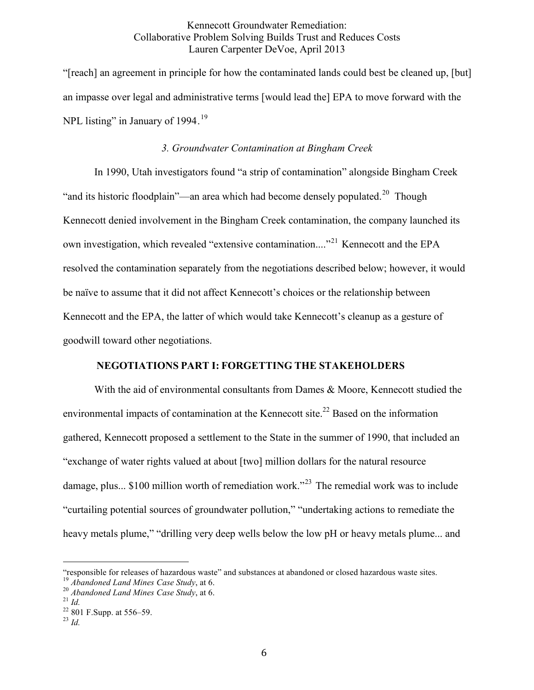"[reach] an agreement in principle for how the contaminated lands could best be cleaned up, [but] an impasse over legal and administrative terms [would lead the] EPA to move forward with the NPL listing" in January of 1994.<sup>19</sup>

#### *3. Groundwater Contamination at Bingham Creek*

In 1990, Utah investigators found "a strip of contamination" alongside Bingham Creek "and its historic floodplain"—an area which had become densely populated.<sup>20</sup> Though Kennecott denied involvement in the Bingham Creek contamination, the company launched its own investigation, which revealed "extensive contamination...."<sup>21</sup> Kennecott and the EPA resolved the contamination separately from the negotiations described below; however, it would be naïve to assume that it did not affect Kennecott's choices or the relationship between Kennecott and the EPA, the latter of which would take Kennecott's cleanup as a gesture of goodwill toward other negotiations.

# **NEGOTIATIONS PART I: FORGETTING THE STAKEHOLDERS**

With the aid of environmental consultants from Dames & Moore, Kennecott studied the environmental impacts of contamination at the Kennecott site.<sup>22</sup> Based on the information gathered, Kennecott proposed a settlement to the State in the summer of 1990, that included an "exchange of water rights valued at about [two] million dollars for the natural resource damage, plus... \$100 million worth of remediation work."<sup>23</sup> The remedial work was to include "curtailing potential sources of groundwater pollution," "undertaking actions to remediate the heavy metals plume," "drilling very deep wells below the low pH or heavy metals plume... and

<sup>&</sup>quot;responsible for releases of hazardous waste" and substances at abandoned or closed hazardous waste sites.<br><sup>19</sup> Abandoned Land Mines Case Study, at 6.

<sup>&</sup>lt;sup>20</sup> *Abandoned Land Mines Case Study*, at 6.<br><sup>21</sup> *Id.* <sup>22</sup> 801 F.Supp. at 556–59. <sup>23</sup> *Id.*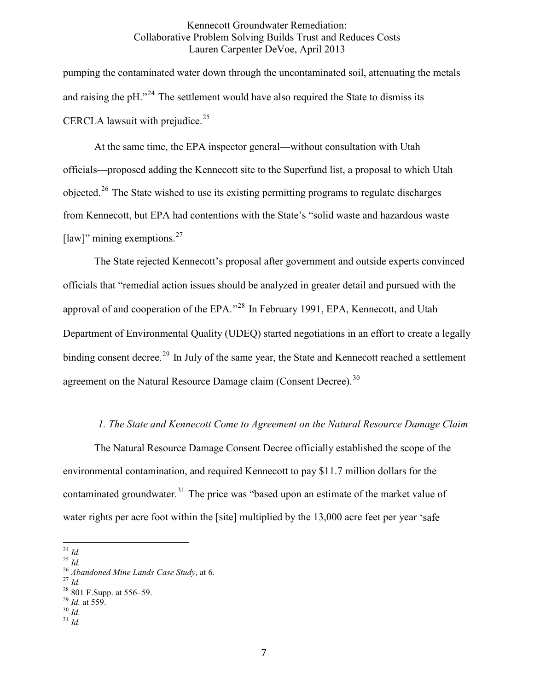pumping the contaminated water down through the uncontaminated soil, attenuating the metals and raising the pH $.^{24}$ . The settlement would have also required the State to dismiss its CERCLA lawsuit with prejudice.<sup>25</sup>

At the same time, the EPA inspector general—without consultation with Utah officials—proposed adding the Kennecott site to the Superfund list, a proposal to which Utah objected.<sup>26</sup> The State wished to use its existing permitting programs to regulate discharges from Kennecott, but EPA had contentions with the State's "solid waste and hazardous waste [law]" mining exemptions.<sup>27</sup>

The State rejected Kennecott's proposal after government and outside experts convinced officials that "remedial action issues should be analyzed in greater detail and pursued with the approval of and cooperation of the EPA."<sup>28</sup> In February 1991, EPA, Kennecott, and Utah Department of Environmental Quality (UDEQ) started negotiations in an effort to create a legally binding consent decree.<sup>29</sup> In July of the same year, the State and Kennecott reached a settlement agreement on the Natural Resource Damage claim (Consent Decree).<sup>30</sup>

#### *1. The State and Kennecott Come to Agreement on the Natural Resource Damage Claim*

The Natural Resource Damage Consent Decree officially established the scope of the environmental contamination, and required Kennecott to pay \$11.7 million dollars for the contaminated groundwater.<sup>31</sup> The price was "based upon an estimate of the market value of water rights per acre foot within the [site] multiplied by the 13,000 acre feet per year 'safe

<sup>&</sup>lt;sup>24</sup> *Id.* <sup>25</sup> *Id.* <sup>26</sup> *Abandoned Mine Lands Case Study*, at 6. <sup>27</sup> *Id.* 28 801 F.Supp. at 556–59. <sup>29</sup> *Id.* at 559. <sup>30</sup> *Id.* <sup>31</sup> *Id.* <sup>31</sup> *Id.*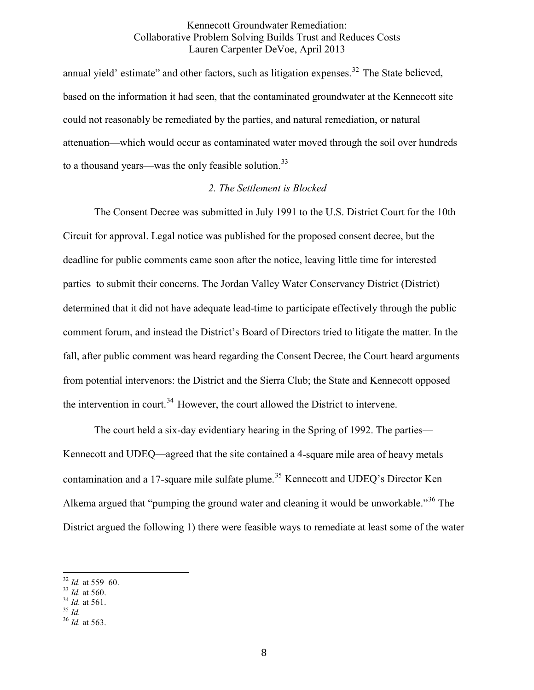annual yield' estimate" and other factors, such as litigation expenses.<sup>32</sup> The State believed, based on the information it had seen, that the contaminated groundwater at the Kennecott site could not reasonably be remediated by the parties, and natural remediation, or natural attenuation—which would occur as contaminated water moved through the soil over hundreds to a thousand years—was the only feasible solution.<sup>33</sup>

# *2. The Settlement is Blocked*

The Consent Decree was submitted in July 1991 to the U.S. District Court for the 10th Circuit for approval. Legal notice was published for the proposed consent decree, but the deadline for public comments came soon after the notice, leaving little time for interested parties to submit their concerns. The Jordan Valley Water Conservancy District (District) determined that it did not have adequate lead-time to participate effectively through the public comment forum, and instead the District's Board of Directors tried to litigate the matter. In the fall, after public comment was heard regarding the Consent Decree, the Court heard arguments from potential intervenors: the District and the Sierra Club; the State and Kennecott opposed the intervention in court.<sup>34</sup> However, the court allowed the District to intervene.

The court held a six-day evidentiary hearing in the Spring of 1992. The parties— Kennecott and UDEQ—agreed that the site contained a 4-square mile area of heavy metals contamination and a 17-square mile sulfate plume.<sup>35</sup> Kennecott and UDEQ's Director Ken Alkema argued that "pumping the ground water and cleaning it would be unworkable."<sup>36</sup> The District argued the following 1) there were feasible ways to remediate at least some of the water

<sup>32</sup> *Id.* at 559–60. <sup>33</sup> *Id.* at 560. <sup>34</sup> *Id.* at 561. <sup>35</sup> *Id.* <sup>36</sup> *Id.* at 563.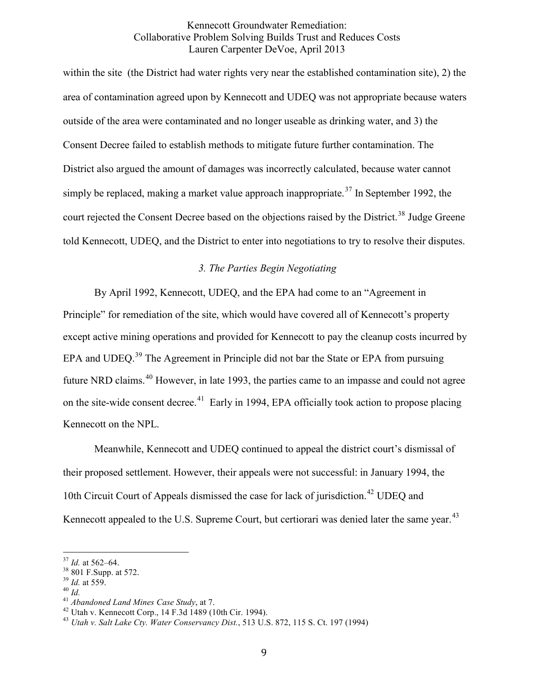within the site (the District had water rights very near the established contamination site), 2) the area of contamination agreed upon by Kennecott and UDEQ was not appropriate because waters outside of the area were contaminated and no longer useable as drinking water, and 3) the Consent Decree failed to establish methods to mitigate future further contamination. The District also argued the amount of damages was incorrectly calculated, because water cannot simply be replaced, making a market value approach inappropriate.<sup>37</sup> In September 1992, the court rejected the Consent Decree based on the objections raised by the District.<sup>38</sup> Judge Greene told Kennecott, UDEQ, and the District to enter into negotiations to try to resolve their disputes.

# *3. The Parties Begin Negotiating*

By April 1992, Kennecott, UDEQ, and the EPA had come to an "Agreement in Principle" for remediation of the site, which would have covered all of Kennecott's property except active mining operations and provided for Kennecott to pay the cleanup costs incurred by EPA and UDEQ.<sup>39</sup> The Agreement in Principle did not bar the State or EPA from pursuing future NRD claims.<sup>40</sup> However, in late 1993, the parties came to an impasse and could not agree on the site-wide consent decree.<sup>41</sup> Early in 1994, EPA officially took action to propose placing Kennecott on the NPL.

Meanwhile, Kennecott and UDEQ continued to appeal the district court's dismissal of their proposed settlement. However, their appeals were not successful: in January 1994, the 10th Circuit Court of Appeals dismissed the case for lack of jurisdiction.<sup>42</sup> UDEQ and Kennecott appealed to the U.S. Supreme Court, but certiorari was denied later the same year.<sup>43</sup>

<sup>&</sup>lt;sup>37</sup> *Id.* at 562–64.<br>
<sup>38</sup> 801 F.Supp. at 572.<br>
<sup>39</sup> *Id.* at 559.<br>
<sup>41</sup> *Abandoned Land Mines Case Study*, at 7.<br>
<sup>42</sup> Utah v. Kennecott Corp., 14 F.3d 1489 (10th Cir. 1994).<br>
<sup>42</sup> Utah v. *Salt Lake Cty. Water Conserva*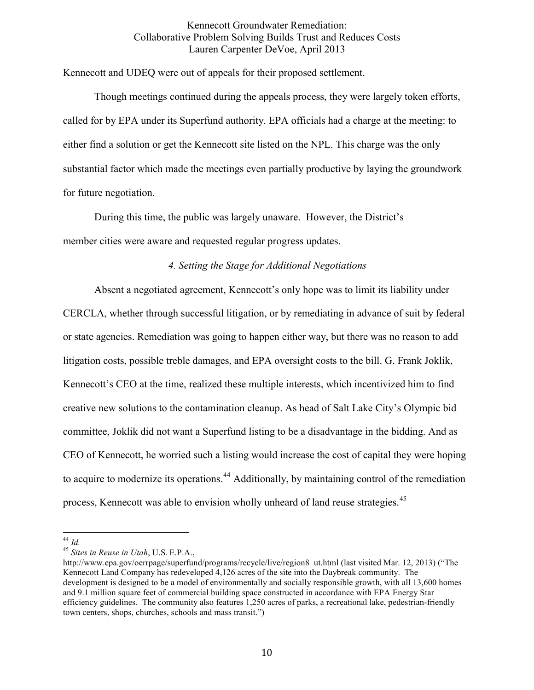Kennecott and UDEQ were out of appeals for their proposed settlement.

Though meetings continued during the appeals process, they were largely token efforts, called for by EPA under its Superfund authority. EPA officials had a charge at the meeting: to either find a solution or get the Kennecott site listed on the NPL. This charge was the only substantial factor which made the meetings even partially productive by laying the groundwork for future negotiation.

During this time, the public was largely unaware. However, the District's member cities were aware and requested regular progress updates.

#### *4. Setting the Stage for Additional Negotiations*

Absent a negotiated agreement, Kennecott's only hope was to limit its liability under CERCLA, whether through successful litigation, or by remediating in advance of suit by federal or state agencies. Remediation was going to happen either way, but there was no reason to add litigation costs, possible treble damages, and EPA oversight costs to the bill. G. Frank Joklik, Kennecott's CEO at the time, realized these multiple interests, which incentivized him to find creative new solutions to the contamination cleanup. As head of Salt Lake City's Olympic bid committee, Joklik did not want a Superfund listing to be a disadvantage in the bidding. And as CEO of Kennecott, he worried such a listing would increase the cost of capital they were hoping to acquire to modernize its operations.<sup>44</sup> Additionally, by maintaining control of the remediation process, Kennecott was able to envision wholly unheard of land reuse strategies.<sup>45</sup>

<sup>44</sup> *Id.* <sup>45</sup> *Sites in Reuse in Utah*, U.S. E.P.A.,

http://www.epa.gov/oerrpage/superfund/programs/recycle/live/region8\_ut.html (last visited Mar. 12, 2013) ("The Kennecott Land Company has redeveloped 4,126 acres of the site into the Daybreak community. The development is designed to be a model of environmentally and socially responsible growth, with all 13,600 homes and 9.1 million square feet of commercial building space constructed in accordance with EPA Energy Star efficiency guidelines. The community also features 1,250 acres of parks, a recreational lake, pedestrian-friendly town centers, shops, churches, schools and mass transit.")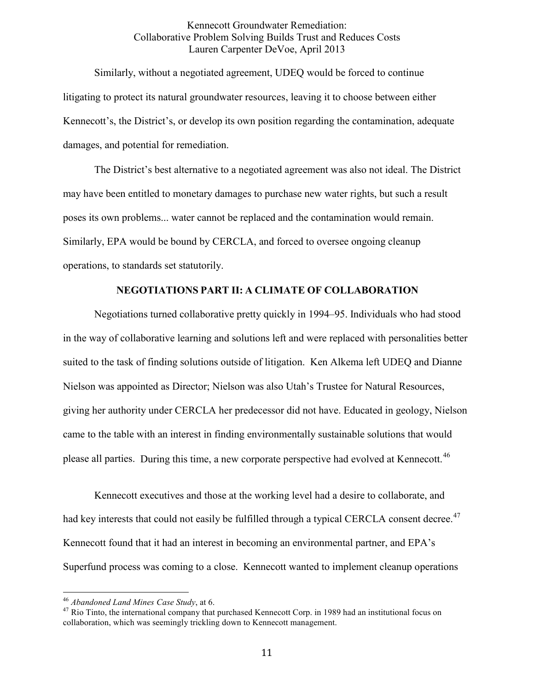Similarly, without a negotiated agreement, UDEQ would be forced to continue litigating to protect its natural groundwater resources, leaving it to choose between either Kennecott's, the District's, or develop its own position regarding the contamination, adequate damages, and potential for remediation.

The District's best alternative to a negotiated agreement was also not ideal. The District may have been entitled to monetary damages to purchase new water rights, but such a result poses its own problems... water cannot be replaced and the contamination would remain. Similarly, EPA would be bound by CERCLA, and forced to oversee ongoing cleanup operations, to standards set statutorily.

## **NEGOTIATIONS PART II: A CLIMATE OF COLLABORATION**

Negotiations turned collaborative pretty quickly in 1994–95. Individuals who had stood in the way of collaborative learning and solutions left and were replaced with personalities better suited to the task of finding solutions outside of litigation. Ken Alkema left UDEQ and Dianne Nielson was appointed as Director; Nielson was also Utah's Trustee for Natural Resources, giving her authority under CERCLA her predecessor did not have. Educated in geology, Nielson came to the table with an interest in finding environmentally sustainable solutions that would please all parties. During this time, a new corporate perspective had evolved at Kennecott.<sup>46</sup>

Kennecott executives and those at the working level had a desire to collaborate, and had key interests that could not easily be fulfilled through a typical CERCLA consent decree.<sup>47</sup> Kennecott found that it had an interest in becoming an environmental partner, and EPA's Superfund process was coming to a close. Kennecott wanted to implement cleanup operations

<sup>&</sup>lt;sup>46</sup> *Abandoned Land Mines Case Study*, at 6.<br><sup>47</sup> Rio Tinto, the international company that purchased Kennecott Corp. in 1989 had an institutional focus on collaboration, which was seemingly trickling down to Kennecott management.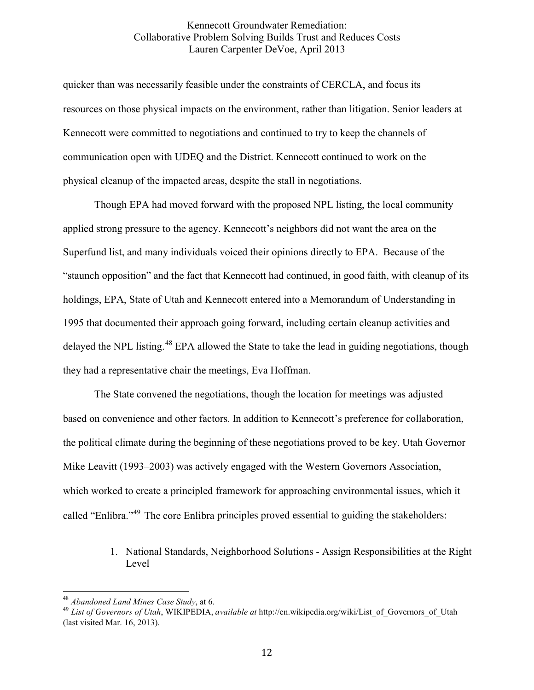quicker than was necessarily feasible under the constraints of CERCLA, and focus its resources on those physical impacts on the environment, rather than litigation. Senior leaders at Kennecott were committed to negotiations and continued to try to keep the channels of communication open with UDEQ and the District. Kennecott continued to work on the physical cleanup of the impacted areas, despite the stall in negotiations.

Though EPA had moved forward with the proposed NPL listing, the local community applied strong pressure to the agency. Kennecott's neighbors did not want the area on the Superfund list, and many individuals voiced their opinions directly to EPA. Because of the "staunch opposition" and the fact that Kennecott had continued, in good faith, with cleanup of its holdings, EPA, State of Utah and Kennecott entered into a Memorandum of Understanding in 1995 that documented their approach going forward, including certain cleanup activities and delayed the NPL listing.<sup>48</sup> EPA allowed the State to take the lead in guiding negotiations, though they had a representative chair the meetings, Eva Hoffman.

The State convened the negotiations, though the location for meetings was adjusted based on convenience and other factors. In addition to Kennecott's preference for collaboration, the political climate during the beginning of these negotiations proved to be key. Utah Governor Mike Leavitt (1993–2003) was actively engaged with the Western Governors Association, which worked to create a principled framework for approaching environmental issues, which it called "Enlibra."<sup>49</sup> The core Enlibra principles proved essential to guiding the stakeholders:

<sup>1.</sup> National Standards, Neighborhood Solutions - Assign Responsibilities at the Right Level

<sup>48</sup> *Abandoned Land Mines Case Study*, at 6.

<sup>&</sup>lt;sup>49</sup> List of Governors of Utah, WIKIPEDIA, *available* at http://en.wikipedia.org/wiki/List\_of\_Governors\_of\_Utah (last visited Mar. 16, 2013).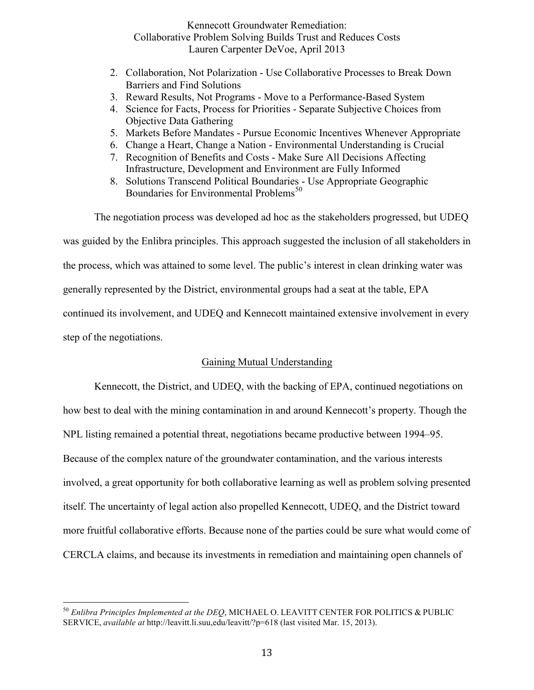- 2. Collaboration, Not Polarization Use Collaborative Processes to Break Down Barriers and Find Solutions
- 3. Reward Results, Not Programs Move to a Performance-Based System
- 4. Science for Facts, Process for Priorities Separate Subjective Choices from Objective Data Gathering
- 5. Markets Before Mandates Pursue Economic Incentives Whenever Appropriate
- 6. Change a Heart, Change a Nation Environmental Understanding is Crucial
- 7. Recognition of Benefits and Costs Make Sure All Decisions Affecting Infrastructure, Development and Environment are Fully Informed
- 8. Solutions Transcend Political Boundaries Use Appropriate Geographic Boundaries for Environmental Problems 50

The negotiation process was developed ad hoc as the stakeholders progressed, but UDEQ was guided by the Enlibra principles. This approach suggested the inclusion of all stakeholders in the process, which was attained to some level. The public's interest in clean drinking water was generally represented by the District, environmental groups had a seat at the table, EPA continued its involvement, and UDEQ and Kennecott maintained extensive involvement in every step of the negotiations.

# Gaining Mutual Understanding

Kennecott, the District, and UDEQ, with the backing of EPA, continued negotiations on how best to deal with the mining contamination in and around Kennecott's property. Though the NPL listing remained a potential threat, negotiations became productive between 1994–95. Because of the complex nature of the groundwater contamination, and the various interests involved, a great opportunity for both collaborative learning as well as problem solving presented itself. The uncertainty of legal action also propelled Kennecott, UDEQ, and the District toward more fruitful collaborative efforts. Because none of the parties could be sure what would come of CERCLA claims, and because its investments in remediation and maintaining open channels of

<sup>50</sup> *Enlibra Principles Implemented at the DEQ*, MICHAEL O. LEAVITT CENTER FOR POLITICS & PUBLIC SERVICE, *available at* http://leavitt.li.suu,edu/leavitt/?p=618 (last visited Mar. 15, 2013).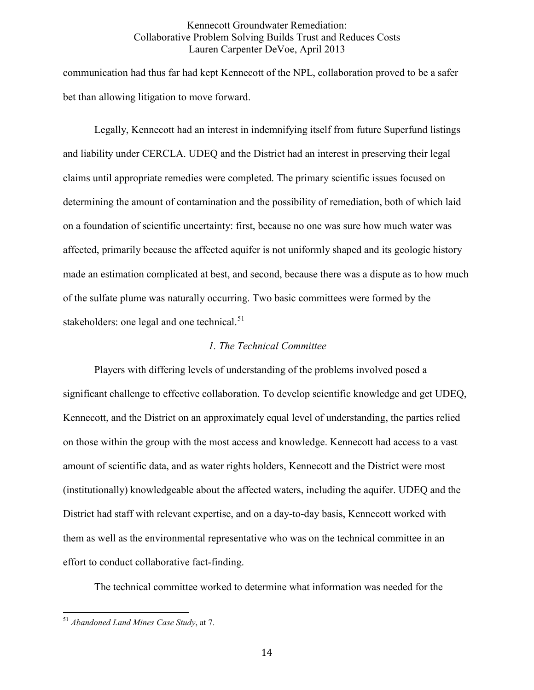communication had thus far had kept Kennecott of the NPL, collaboration proved to be a safer bet than allowing litigation to move forward.

Legally, Kennecott had an interest in indemnifying itself from future Superfund listings and liability under CERCLA. UDEQ and the District had an interest in preserving their legal claims until appropriate remedies were completed. The primary scientific issues focused on determining the amount of contamination and the possibility of remediation, both of which laid on a foundation of scientific uncertainty: first, because no one was sure how much water was affected, primarily because the affected aquifer is not uniformly shaped and its geologic history made an estimation complicated at best, and second, because there was a dispute as to how much of the sulfate plume was naturally occurring. Two basic committees were formed by the stakeholders: one legal and one technical.<sup>51</sup>

## *1. The Technical Committee*

Players with differing levels of understanding of the problems involved posed a significant challenge to effective collaboration. To develop scientific knowledge and get UDEQ, Kennecott, and the District on an approximately equal level of understanding, the parties relied on those within the group with the most access and knowledge. Kennecott had access to a vast amount of scientific data, and as water rights holders, Kennecott and the District were most (institutionally) knowledgeable about the affected waters, including the aquifer. UDEQ and the District had staff with relevant expertise, and on a day-to-day basis, Kennecott worked with them as well as the environmental representative who was on the technical committee in an effort to conduct collaborative fact-finding.

The technical committee worked to determine what information was needed for the

 

<sup>51</sup> *Abandoned Land Mines Case Study*, at 7.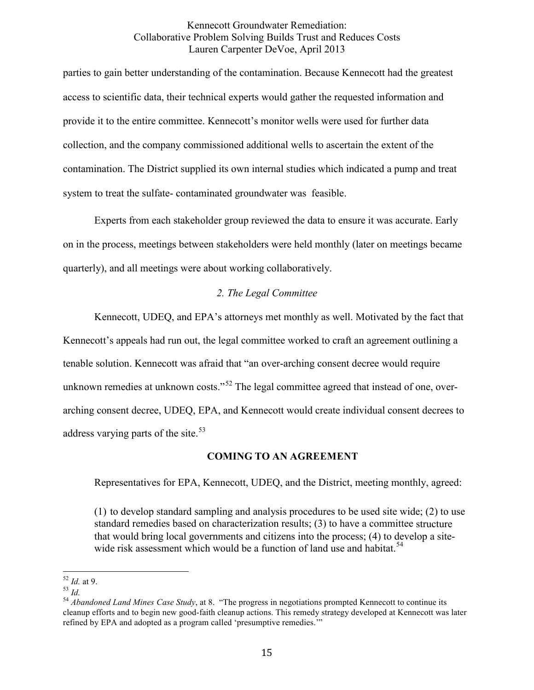parties to gain better understanding of the contamination. Because Kennecott had the greatest access to scientific data, their technical experts would gather the requested information and provide it to the entire committee. Kennecott's monitor wells were used for further data collection, and the company commissioned additional wells to ascertain the extent of the contamination. The District supplied its own internal studies which indicated a pump and treat system to treat the sulfate- contaminated groundwater was feasible.

Experts from each stakeholder group reviewed the data to ensure it was accurate. Early on in the process, meetings between stakeholders were held monthly (later on meetings became quarterly), and all meetings were about working collaboratively.

# *2. The Legal Committee*

Kennecott, UDEQ, and EPA's attorneys met monthly as well. Motivated by the fact that Kennecott's appeals had run out, the legal committee worked to craft an agreement outlining a tenable solution. Kennecott was afraid that "an over-arching consent decree would require unknown remedies at unknown costs."<sup>52</sup> The legal committee agreed that instead of one, overarching consent decree, UDEQ, EPA, and Kennecott would create individual consent decrees to address varying parts of the site.<sup>53</sup>

#### **COMING TO AN AGREEMENT**

Representatives for EPA, Kennecott, UDEQ, and the District, meeting monthly, agreed:

(1) to develop standard sampling and analysis procedures to be used site wide; (2) to use standard remedies based on characterization results; (3) to have a committee structure that would bring local governments and citizens into the process; (4) to develop a sitewide risk assessment which would be a function of land use and habitat.<sup>54</sup>

 $\frac{52}{53}$  *Id.* at 9.

<sup>53</sup> *Id.* <sup>54</sup> *Abandoned Land Mines Case Study*, at 8. "The progress in negotiations prompted Kennecott to continue its cleanup efforts and to begin new good-faith cleanup actions. This remedy strategy developed at Kennecott was later refined by EPA and adopted as a program called 'presumptive remedies.'"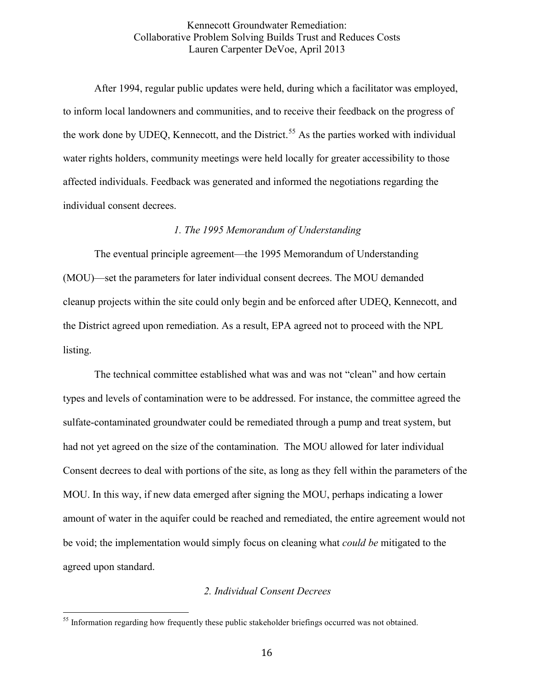After 1994, regular public updates were held, during which a facilitator was employed, to inform local landowners and communities, and to receive their feedback on the progress of the work done by UDEQ, Kennecott, and the District.<sup>55</sup> As the parties worked with individual water rights holders, community meetings were held locally for greater accessibility to those affected individuals. Feedback was generated and informed the negotiations regarding the individual consent decrees.

## *1. The 1995 Memorandum of Understanding*

The eventual principle agreement—the 1995 Memorandum of Understanding (MOU)—set the parameters for later individual consent decrees. The MOU demanded cleanup projects within the site could only begin and be enforced after UDEQ, Kennecott, and the District agreed upon remediation. As a result, EPA agreed not to proceed with the NPL listing.

The technical committee established what was and was not "clean" and how certain types and levels of contamination were to be addressed. For instance, the committee agreed the sulfate-contaminated groundwater could be remediated through a pump and treat system, but had not yet agreed on the size of the contamination. The MOU allowed for later individual Consent decrees to deal with portions of the site, as long as they fell within the parameters of the MOU. In this way, if new data emerged after signing the MOU, perhaps indicating a lower amount of water in the aquifer could be reached and remediated, the entire agreement would not be void; the implementation would simply focus on cleaning what *could be* mitigated to the agreed upon standard.

#### *2. Individual Consent Decrees*

 

<sup>&</sup>lt;sup>55</sup> Information regarding how frequently these public stakeholder briefings occurred was not obtained.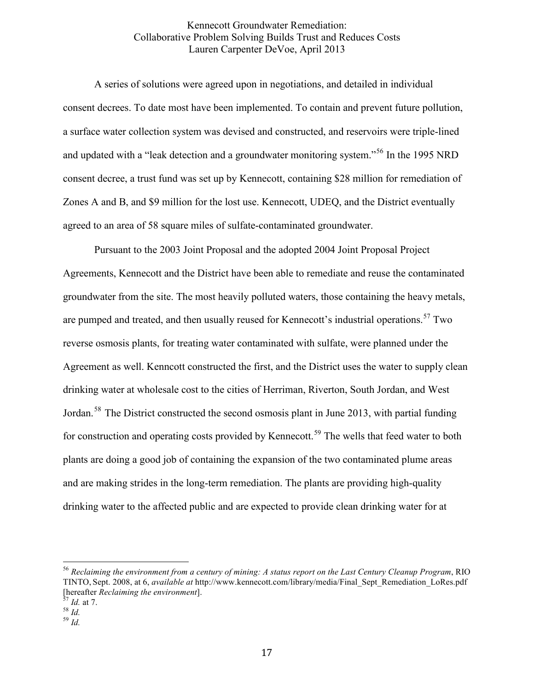A series of solutions were agreed upon in negotiations, and detailed in individual consent decrees. To date most have been implemented. To contain and prevent future pollution, a surface water collection system was devised and constructed, and reservoirs were triple-lined and updated with a "leak detection and a groundwater monitoring system."<sup>56</sup> In the 1995 NRD consent decree, a trust fund was set up by Kennecott, containing \$28 million for remediation of Zones A and B, and \$9 million for the lost use. Kennecott, UDEQ, and the District eventually agreed to an area of 58 square miles of sulfate-contaminated groundwater.

Pursuant to the 2003 Joint Proposal and the adopted 2004 Joint Proposal Project Agreements, Kennecott and the District have been able to remediate and reuse the contaminated groundwater from the site. The most heavily polluted waters, those containing the heavy metals, are pumped and treated, and then usually reused for Kennecott's industrial operations.<sup>57</sup> Two reverse osmosis plants, for treating water contaminated with sulfate, were planned under the Agreement as well. Kenncott constructed the first, and the District uses the water to supply clean drinking water at wholesale cost to the cities of Herriman, Riverton, South Jordan, and West Jordan.<sup>58</sup> The District constructed the second osmosis plant in June 2013, with partial funding for construction and operating costs provided by Kennecott.<sup>59</sup> The wells that feed water to both plants are doing a good job of containing the expansion of the two contaminated plume areas and are making strides in the long-term remediation. The plants are providing high-quality drinking water to the affected public and are expected to provide clean drinking water for at

<sup>56</sup> *Reclaiming the environment from a century of mining: A status report on the Last Century Cleanup Program*, RIO TINTO, Sept. 2008, at 6, *available at* http://www.kennecott.com/library/media/Final\_Sept\_Remediation\_LoRes.pdf [hereafter *Reclaiming the environment*]. <sup>57</sup> *Id.* at 7. <sup>58</sup> *Id.* <sup>59</sup> *Id.*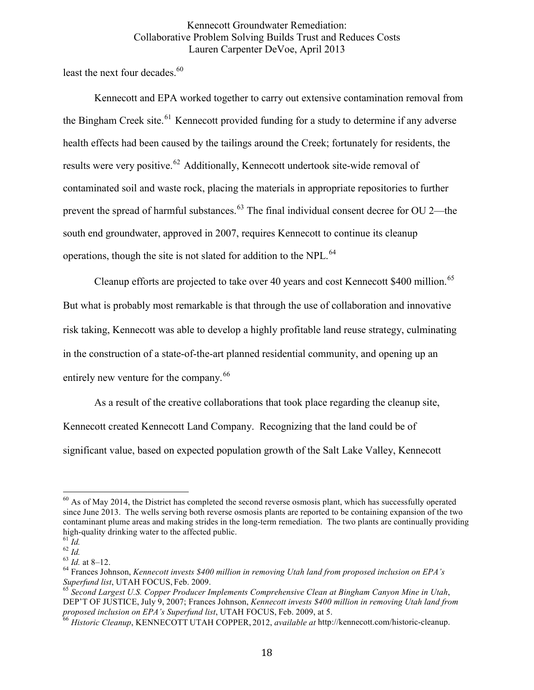least the next four decades.<sup>60</sup>

Kennecott and EPA worked together to carry out extensive contamination removal from the Bingham Creek site.<sup>61</sup> Kennecott provided funding for a study to determine if any adverse health effects had been caused by the tailings around the Creek; fortunately for residents, the results were very positive.<sup>62</sup> Additionally, Kennecott undertook site-wide removal of contaminated soil and waste rock, placing the materials in appropriate repositories to further prevent the spread of harmful substances.<sup>63</sup> The final individual consent decree for OU 2—the south end groundwater, approved in 2007, requires Kennecott to continue its cleanup operations, though the site is not slated for addition to the NPL.<sup>64</sup>

Cleanup efforts are projected to take over 40 years and cost Kennecott \$400 million.<sup>65</sup> But what is probably most remarkable is that through the use of collaboration and innovative risk taking, Kennecott was able to develop a highly profitable land reuse strategy, culminating in the construction of a state-of-the-art planned residential community, and opening up an entirely new venture for the company.<sup>66</sup>

As a result of the creative collaborations that took place regarding the cleanup site, Kennecott created Kennecott Land Company. Recognizing that the land could be of significant value, based on expected population growth of the Salt Lake Valley, Kennecott

 $60$  As of May 2014, the District has completed the second reverse osmosis plant, which has successfully operated since June 2013. The wells serving both reverse osmosis plants are reported to be containing expansion of the two contaminant plume areas and making strides in the long-term remediation. The two plants are continually providing high-quality drinking water to the affected public.<br>
<sup>61</sup> *Id.*<br>
<sup>63</sup> *Id.* at 8–12.<br>
<sup>64</sup> Frances Johnson, *Kennecott invests \$400 million in removing Utah land from proposed inclusion on EPA's* 

*Superfund list*, UTAH FOCUS, Feb. 2009. <sup>65</sup> *Second Largest U.S. Copper Producer Implements Comprehensive Clean at Bingham Canyon Mine in Utah*,

DEP'T OF JUSTICE, July 9, 2007; Frances Johnson, *Kennecott invests \$400 million in removing Utah land from proposed inclusion on EPA's Superfund list*, UTAH FOCUS, Feb. 2009, at 5. <sup>66</sup> *Historic Cleanup*, KENNECOTT UTAH COPPER, 2012, *available at* http://kennecott.com/historic-cleanup.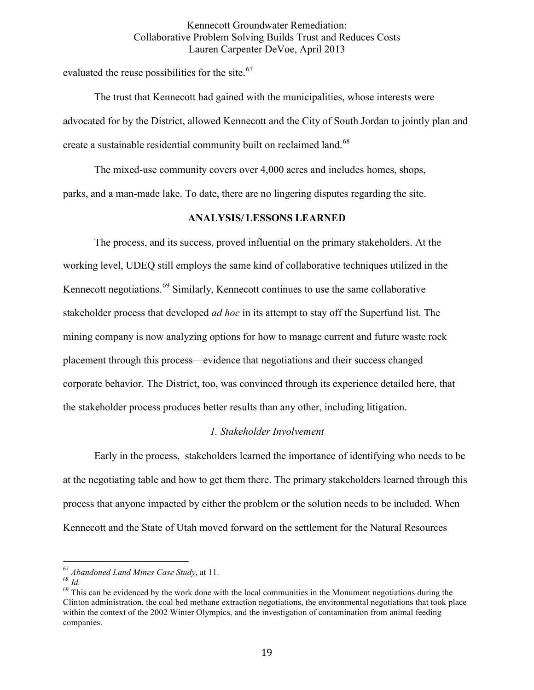evaluated the reuse possibilities for the site.<sup>67</sup>

The trust that Kennecott had gained with the municipalities, whose interests were advocated for by the District, allowed Kennecott and the City of South Jordan to jointly plan and create a sustainable residential community built on reclaimed land.<sup>68</sup>

The mixed-use community covers over 4,000 acres and includes homes, shops, parks, and a man-made lake. To date, there are no lingering disputes regarding the site.

# **ANALYSIS/LESSONS LEARNED**

The process, and its success, proved influential on the primary stakeholders. At the working level, UDEQ still employs the same kind of collaborative techniques utilized in the Kennecott negotiations.<sup>69</sup> Similarly, Kennecott continues to use the same collaborative stakeholder process that developed *ad hoc* in its attempt to stay off the Superfund list. The mining company is now analyzing options for how to manage current and future waste rock placement through this process—evidence that negotiations and their success changed corporate behavior. The District, too, was convinced through its experience detailed here, that the stakeholder process produces better results than any other, including litigation.

## *1. Stakeholder Involvement*

Early in the process, stakeholders learned the importance of identifying who needs to be at the negotiating table and how to get them there. The primary stakeholders learned through this process that anyone impacted by either the problem or the solution needs to be included. When Kennecott and the State of Utah moved forward on the settlement for the Natural Resources

 $67$  Abandoned Land Mines Case Study, at 11.

<sup>&</sup>lt;sup>68</sup> *Id.*<br><sup>69</sup> This can be evidenced by the work done with the local communities in the Monument negotiations during the Clinton administration, the coal bed methane extraction negotiations, the environmental negotiations that took place within the context of the 2002 Winter Olympics, and the investigation of contamination from animal feeding companies.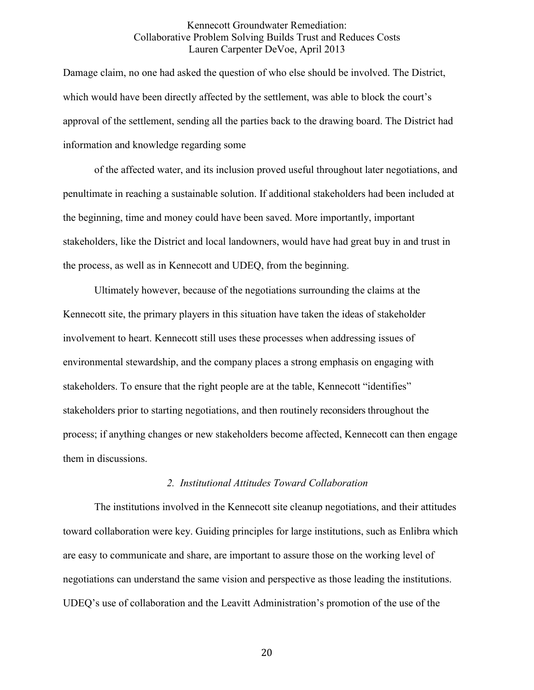Damage claim, no one had asked the question of who else should be involved. The District, which would have been directly affected by the settlement, was able to block the court's approval of the settlement, sending all the parties back to the drawing board. The District had information and knowledge regarding some

of the affected water, and its inclusion proved useful throughout later negotiations, and penultimate in reaching a sustainable solution. If additional stakeholders had been included at the beginning, time and money could have been saved. More importantly, important stakeholders, like the District and local landowners, would have had great buy in and trust in the process, as well as in Kennecott and UDEQ, from the beginning.

Ultimately however, because of the negotiations surrounding the claims at the Kennecott site, the primary players in this situation have taken the ideas of stakeholder involvement to heart. Kennecott still uses these processes when addressing issues of environmental stewardship, and the company places a strong emphasis on engaging with stakeholders. To ensure that the right people are at the table, Kennecott "identifies" stakeholders prior to starting negotiations, and then routinely reconsiders throughout the process; if anything changes or new stakeholders become affected, Kennecott can then engage them in discussions.

#### *2. Institutional Attitudes Toward Collaboration*

The institutions involved in the Kennecott site cleanup negotiations, and their attitudes toward collaboration were key. Guiding principles for large institutions, such as Enlibra which are easy to communicate and share, are important to assure those on the working level of negotiations can understand the same vision and perspective as those leading the institutions. UDEQ's use of collaboration and the Leavitt Administration's promotion of the use of the

20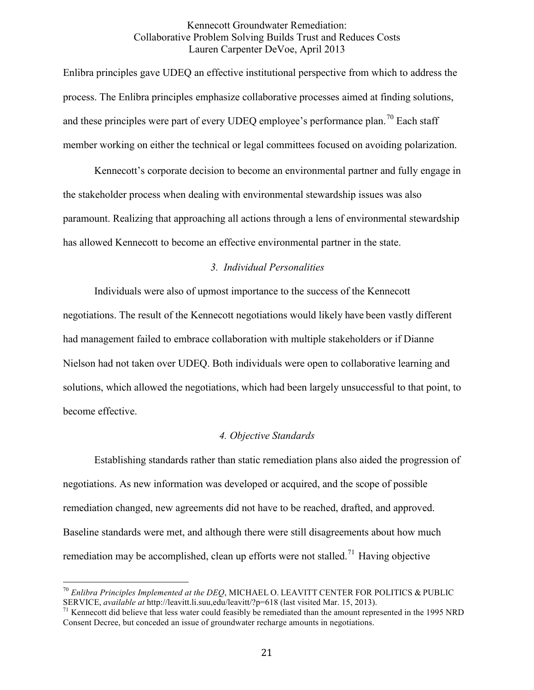Enlibra principles gave UDEQ an effective institutional perspective from which to address the process. The Enlibra principles emphasize collaborative processes aimed at finding solutions, and these principles were part of every UDEQ employee's performance plan.<sup>70</sup> Each staff member working on either the technical or legal committees focused on avoiding polarization.

Kennecott's corporate decision to become an environmental partner and fully engage in the stakeholder process when dealing with environmental stewardship issues was also paramount. Realizing that approaching all actions through a lens of environmental stewardship has allowed Kennecott to become an effective environmental partner in the state.

#### *3. Individual Personalities*

Individuals were also of upmost importance to the success of the Kennecott negotiations. The result of the Kennecott negotiations would likely have been vastly different had management failed to embrace collaboration with multiple stakeholders or if Dianne Nielson had not taken over UDEQ. Both individuals were open to collaborative learning and solutions, which allowed the negotiations, which had been largely unsuccessful to that point, to become effective.

#### *4. Objective Standards*

Establishing standards rather than static remediation plans also aided the progression of negotiations. As new information was developed or acquired, and the scope of possible remediation changed, new agreements did not have to be reached, drafted, and approved. Baseline standards were met, and although there were still disagreements about how much remediation may be accomplished, clean up efforts were not stalled.<sup>71</sup> Having objective

<sup>70</sup> *Enlibra Principles Implemented at the DEQ*, MICHAEL O. LEAVITT CENTER FOR POLITICS & PUBLIC SERVICE, *available at* http://leavitt.li.suu,edu/leavitt/?p=618 (last visited Mar. 15, 2013).<br><sup>71</sup> Kennecott did believe that less water could feasibly be remediated than the amount represented in the 1995 NRD

Consent Decree, but conceded an issue of groundwater recharge amounts in negotiations.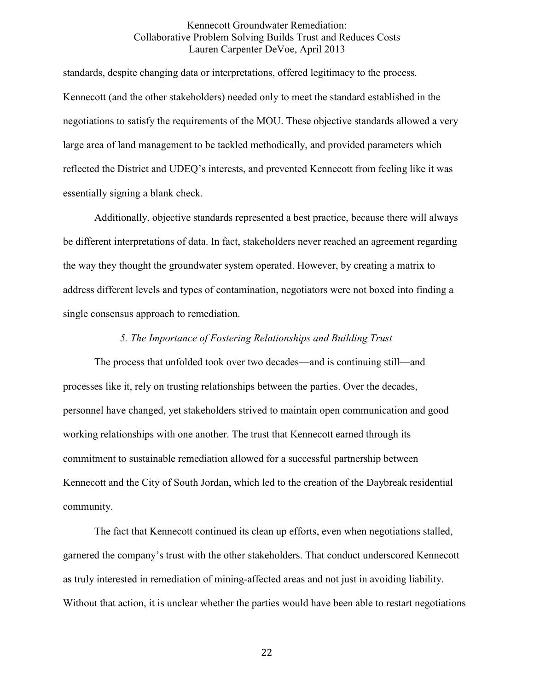standards, despite changing data or interpretations, offered legitimacy to the process. Kennecott (and the other stakeholders) needed only to meet the standard established in the negotiations to satisfy the requirements of the MOU. These objective standards allowed a very large area of land management to be tackled methodically, and provided parameters which reflected the District and UDEQ's interests, and prevented Kennecott from feeling like it was essentially signing a blank check.

Additionally, objective standards represented a best practice, because there will always be different interpretations of data. In fact, stakeholders never reached an agreement regarding the way they thought the groundwater system operated. However, by creating a matrix to address different levels and types of contamination, negotiators were not boxed into finding a single consensus approach to remediation.

#### *5. The Importance of Fostering Relationships and Building Trust*

The process that unfolded took over two decades—and is continuing still—and processes like it, rely on trusting relationships between the parties. Over the decades, personnel have changed, yet stakeholders strived to maintain open communication and good working relationships with one another. The trust that Kennecott earned through its commitment to sustainable remediation allowed for a successful partnership between Kennecott and the City of South Jordan, which led to the creation of the Daybreak residential community.

The fact that Kennecott continued its clean up efforts, even when negotiations stalled, garnered the company's trust with the other stakeholders. That conduct underscored Kennecott as truly interested in remediation of mining-affected areas and not just in avoiding liability. Without that action, it is unclear whether the parties would have been able to restart negotiations

22